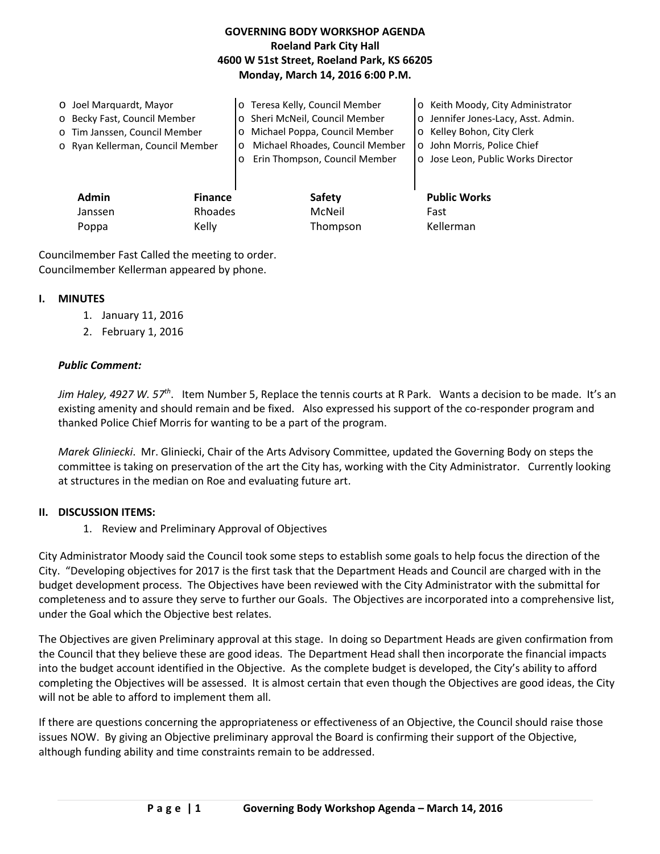# **GOVERNING BODY WORKSHOP AGENDA Roeland Park City Hall 4600 W 51st Street, Roeland Park, KS 66205 Monday, March 14, 2016 6:00 P.M.**

| O Joel Marguardt, Mayor<br>o Becky Fast, Council Member<br>o Tim Janssen, Council Member |                | o Teresa Kelly, Council Member<br>o Sheri McNeil, Council Member<br>o Michael Poppa, Council Member | o Keith Moody, City Administrator<br>o Jennifer Jones-Lacy, Asst. Admin.<br>o Kelley Bohon, City Clerk |
|------------------------------------------------------------------------------------------|----------------|-----------------------------------------------------------------------------------------------------|--------------------------------------------------------------------------------------------------------|
| o Ryan Kellerman, Council Member                                                         | $\circ$        | Michael Rhoades, Council Member<br>$\circ$<br>Erin Thompson, Council Member                         | o John Morris, Police Chief<br>o Jose Leon, Public Works Director                                      |
| <b>Admin</b>                                                                             | <b>Finance</b> | <b>Safety</b>                                                                                       | <b>Public Works</b>                                                                                    |
| Janssen                                                                                  | Rhoades        | McNeil                                                                                              | Fast                                                                                                   |

Poppa Kelly Kelly Thompson Kellerman

Councilmember Fast Called the meeting to order. Councilmember Kellerman appeared by phone.

#### **I. MINUTES**

- 1. January 11, 2016
- 2. February 1, 2016

## *Public Comment:*

*Jim Haley, 4927 W. 57th*. Item Number 5, Replace the tennis courts at R Park. Wants a decision to be made. It's an existing amenity and should remain and be fixed. Also expressed his support of the co-responder program and thanked Police Chief Morris for wanting to be a part of the program.

*Marek Gliniecki*. Mr. Gliniecki, Chair of the Arts Advisory Committee, updated the Governing Body on steps the committee is taking on preservation of the art the City has, working with the City Administrator. Currently looking at structures in the median on Roe and evaluating future art.

## **II. DISCUSSION ITEMS:**

1. Review and Preliminary Approval of Objectives

City Administrator Moody said the Council took some steps to establish some goals to help focus the direction of the City. "Developing objectives for 2017 is the first task that the Department Heads and Council are charged with in the budget development process. The Objectives have been reviewed with the City Administrator with the submittal for completeness and to assure they serve to further our Goals. The Objectives are incorporated into a comprehensive list, under the Goal which the Objective best relates.

The Objectives are given Preliminary approval at this stage. In doing so Department Heads are given confirmation from the Council that they believe these are good ideas. The Department Head shall then incorporate the financial impacts into the budget account identified in the Objective. As the complete budget is developed, the City's ability to afford completing the Objectives will be assessed. It is almost certain that even though the Objectives are good ideas, the City will not be able to afford to implement them all.

If there are questions concerning the appropriateness or effectiveness of an Objective, the Council should raise those issues NOW. By giving an Objective preliminary approval the Board is confirming their support of the Objective, although funding ability and time constraints remain to be addressed.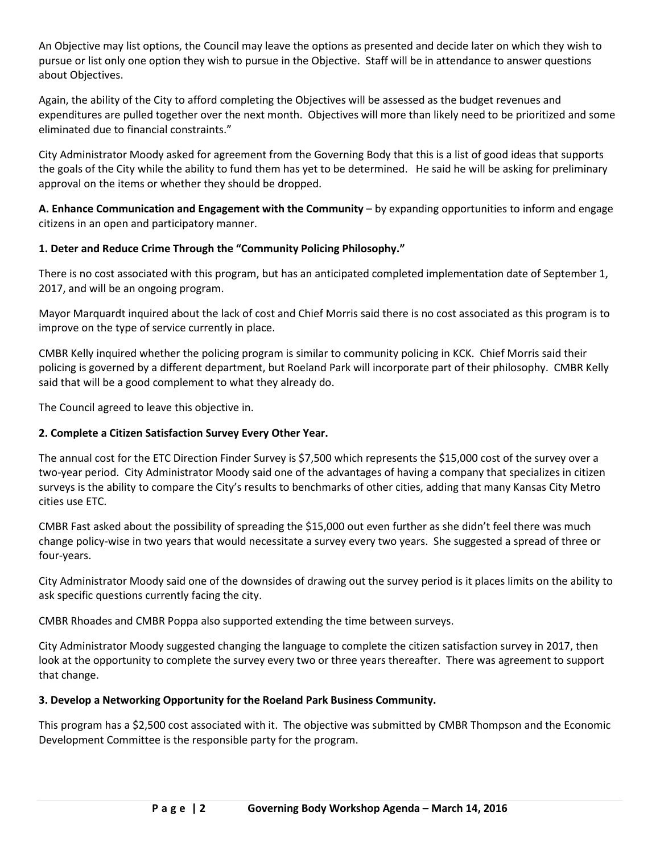An Objective may list options, the Council may leave the options as presented and decide later on which they wish to pursue or list only one option they wish to pursue in the Objective. Staff will be in attendance to answer questions about Objectives.

Again, the ability of the City to afford completing the Objectives will be assessed as the budget revenues and expenditures are pulled together over the next month. Objectives will more than likely need to be prioritized and some eliminated due to financial constraints."

City Administrator Moody asked for agreement from the Governing Body that this is a list of good ideas that supports the goals of the City while the ability to fund them has yet to be determined. He said he will be asking for preliminary approval on the items or whether they should be dropped.

**A. Enhance Communication and Engagement with the Community** – by expanding opportunities to inform and engage citizens in an open and participatory manner.

## **1. Deter and Reduce Crime Through the "Community Policing Philosophy."**

There is no cost associated with this program, but has an anticipated completed implementation date of September 1, 2017, and will be an ongoing program.

Mayor Marquardt inquired about the lack of cost and Chief Morris said there is no cost associated as this program is to improve on the type of service currently in place.

CMBR Kelly inquired whether the policing program is similar to community policing in KCK. Chief Morris said their policing is governed by a different department, but Roeland Park will incorporate part of their philosophy. CMBR Kelly said that will be a good complement to what they already do.

The Council agreed to leave this objective in.

# **2. Complete a Citizen Satisfaction Survey Every Other Year.**

The annual cost for the ETC Direction Finder Survey is \$7,500 which represents the \$15,000 cost of the survey over a two-year period. City Administrator Moody said one of the advantages of having a company that specializes in citizen surveys is the ability to compare the City's results to benchmarks of other cities, adding that many Kansas City Metro cities use ETC.

CMBR Fast asked about the possibility of spreading the \$15,000 out even further as she didn't feel there was much change policy-wise in two years that would necessitate a survey every two years. She suggested a spread of three or four-years.

City Administrator Moody said one of the downsides of drawing out the survey period is it places limits on the ability to ask specific questions currently facing the city.

CMBR Rhoades and CMBR Poppa also supported extending the time between surveys.

City Administrator Moody suggested changing the language to complete the citizen satisfaction survey in 2017, then look at the opportunity to complete the survey every two or three years thereafter. There was agreement to support that change.

## **3. Develop a Networking Opportunity for the Roeland Park Business Community.**

This program has a \$2,500 cost associated with it. The objective was submitted by CMBR Thompson and the Economic Development Committee is the responsible party for the program.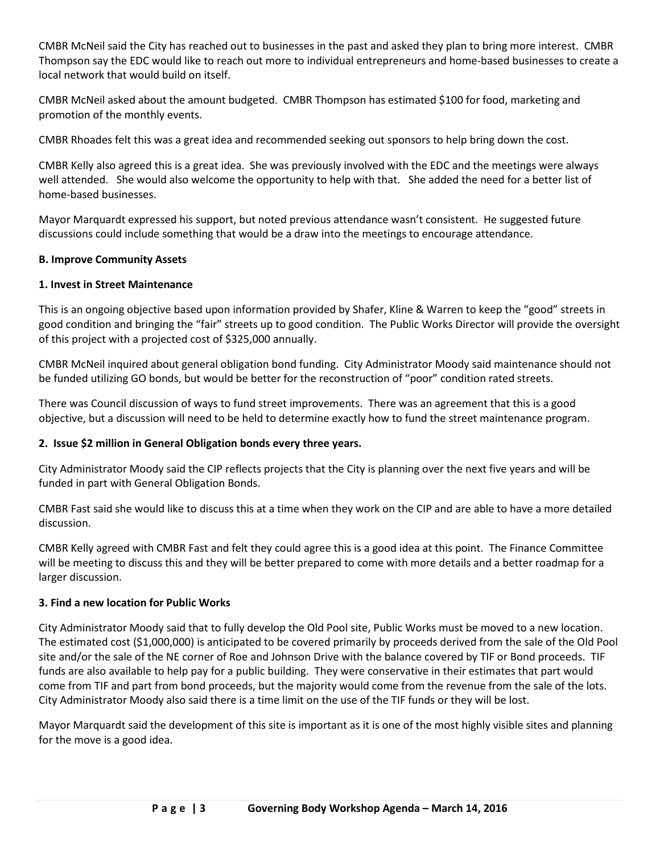CMBR McNeil said the City has reached out to businesses in the past and asked they plan to bring more interest. CMBR Thompson say the EDC would like to reach out more to individual entrepreneurs and home-based businesses to create a local network that would build on itself.

CMBR McNeil asked about the amount budgeted. CMBR Thompson has estimated \$100 for food, marketing and promotion of the monthly events.

CMBR Rhoades felt this was a great idea and recommended seeking out sponsors to help bring down the cost.

CMBR Kelly also agreed this is a great idea. She was previously involved with the EDC and the meetings were always well attended. She would also welcome the opportunity to help with that. She added the need for a better list of home-based businesses.

Mayor Marquardt expressed his support, but noted previous attendance wasn't consistent. He suggested future discussions could include something that would be a draw into the meetings to encourage attendance.

#### **B. Improve Community Assets**

## **1. Invest in Street Maintenance**

This is an ongoing objective based upon information provided by Shafer, Kline & Warren to keep the "good" streets in good condition and bringing the "fair" streets up to good condition. The Public Works Director will provide the oversight of this project with a projected cost of \$325,000 annually.

CMBR McNeil inquired about general obligation bond funding. City Administrator Moody said maintenance should not be funded utilizing GO bonds, but would be better for the reconstruction of "poor" condition rated streets.

There was Council discussion of ways to fund street improvements. There was an agreement that this is a good objective, but a discussion will need to be held to determine exactly how to fund the street maintenance program.

#### **2. Issue \$2 million in General Obligation bonds every three years.**

City Administrator Moody said the CIP reflects projects that the City is planning over the next five years and will be funded in part with General Obligation Bonds.

CMBR Fast said she would like to discuss this at a time when they work on the CIP and are able to have a more detailed discussion.

CMBR Kelly agreed with CMBR Fast and felt they could agree this is a good idea at this point. The Finance Committee will be meeting to discuss this and they will be better prepared to come with more details and a better roadmap for a larger discussion.

#### **3. Find a new location for Public Works**

City Administrator Moody said that to fully develop the Old Pool site, Public Works must be moved to a new location. The estimated cost (\$1,000,000) is anticipated to be covered primarily by proceeds derived from the sale of the Old Pool site and/or the sale of the NE corner of Roe and Johnson Drive with the balance covered by TIF or Bond proceeds. TIF funds are also available to help pay for a public building. They were conservative in their estimates that part would come from TIF and part from bond proceeds, but the majority would come from the revenue from the sale of the lots. City Administrator Moody also said there is a time limit on the use of the TIF funds or they will be lost.

Mayor Marquardt said the development of this site is important as it is one of the most highly visible sites and planning for the move is a good idea.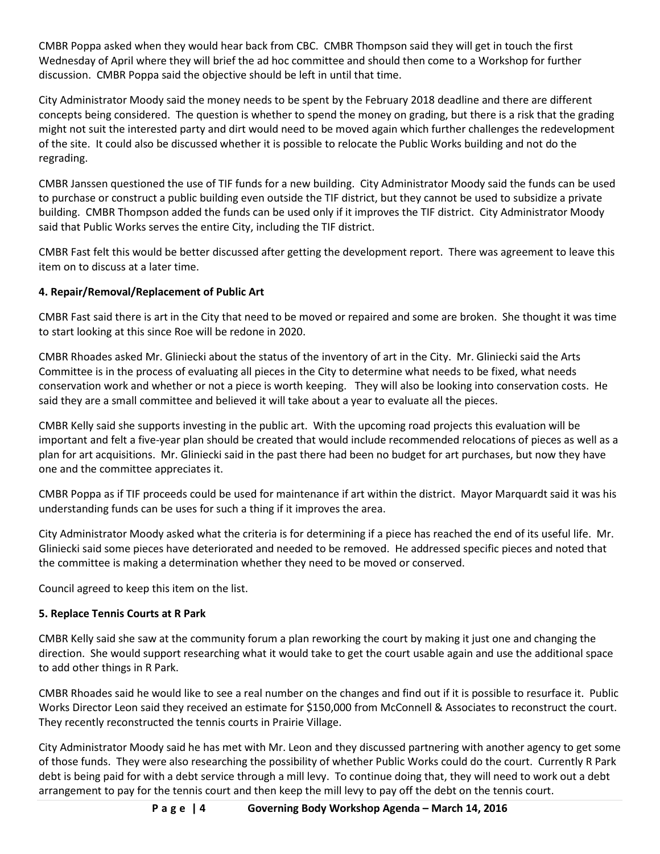CMBR Poppa asked when they would hear back from CBC. CMBR Thompson said they will get in touch the first Wednesday of April where they will brief the ad hoc committee and should then come to a Workshop for further discussion. CMBR Poppa said the objective should be left in until that time.

City Administrator Moody said the money needs to be spent by the February 2018 deadline and there are different concepts being considered. The question is whether to spend the money on grading, but there is a risk that the grading might not suit the interested party and dirt would need to be moved again which further challenges the redevelopment of the site. It could also be discussed whether it is possible to relocate the Public Works building and not do the regrading.

CMBR Janssen questioned the use of TIF funds for a new building. City Administrator Moody said the funds can be used to purchase or construct a public building even outside the TIF district, but they cannot be used to subsidize a private building. CMBR Thompson added the funds can be used only if it improves the TIF district. City Administrator Moody said that Public Works serves the entire City, including the TIF district.

CMBR Fast felt this would be better discussed after getting the development report. There was agreement to leave this item on to discuss at a later time.

# **4. Repair/Removal/Replacement of Public Art**

CMBR Fast said there is art in the City that need to be moved or repaired and some are broken. She thought it was time to start looking at this since Roe will be redone in 2020.

CMBR Rhoades asked Mr. Gliniecki about the status of the inventory of art in the City. Mr. Gliniecki said the Arts Committee is in the process of evaluating all pieces in the City to determine what needs to be fixed, what needs conservation work and whether or not a piece is worth keeping. They will also be looking into conservation costs. He said they are a small committee and believed it will take about a year to evaluate all the pieces.

CMBR Kelly said she supports investing in the public art. With the upcoming road projects this evaluation will be important and felt a five-year plan should be created that would include recommended relocations of pieces as well as a plan for art acquisitions. Mr. Gliniecki said in the past there had been no budget for art purchases, but now they have one and the committee appreciates it.

CMBR Poppa as if TIF proceeds could be used for maintenance if art within the district. Mayor Marquardt said it was his understanding funds can be uses for such a thing if it improves the area.

City Administrator Moody asked what the criteria is for determining if a piece has reached the end of its useful life. Mr. Gliniecki said some pieces have deteriorated and needed to be removed. He addressed specific pieces and noted that the committee is making a determination whether they need to be moved or conserved.

Council agreed to keep this item on the list.

# **5. Replace Tennis Courts at R Park**

CMBR Kelly said she saw at the community forum a plan reworking the court by making it just one and changing the direction. She would support researching what it would take to get the court usable again and use the additional space to add other things in R Park.

CMBR Rhoades said he would like to see a real number on the changes and find out if it is possible to resurface it. Public Works Director Leon said they received an estimate for \$150,000 from McConnell & Associates to reconstruct the court. They recently reconstructed the tennis courts in Prairie Village.

City Administrator Moody said he has met with Mr. Leon and they discussed partnering with another agency to get some of those funds. They were also researching the possibility of whether Public Works could do the court. Currently R Park debt is being paid for with a debt service through a mill levy. To continue doing that, they will need to work out a debt arrangement to pay for the tennis court and then keep the mill levy to pay off the debt on the tennis court.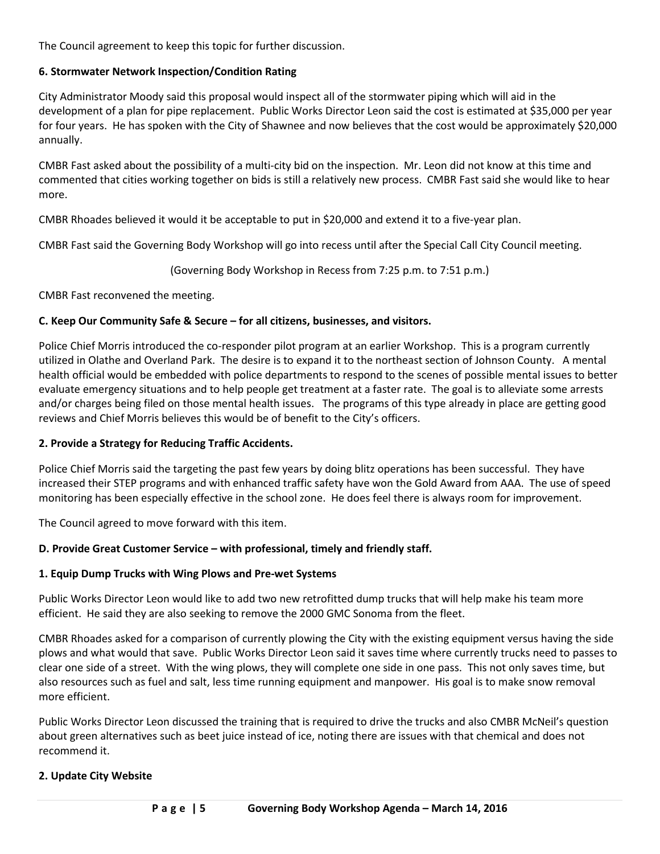The Council agreement to keep this topic for further discussion.

## **6. Stormwater Network Inspection/Condition Rating**

City Administrator Moody said this proposal would inspect all of the stormwater piping which will aid in the development of a plan for pipe replacement. Public Works Director Leon said the cost is estimated at \$35,000 per year for four years. He has spoken with the City of Shawnee and now believes that the cost would be approximately \$20,000 annually.

CMBR Fast asked about the possibility of a multi-city bid on the inspection. Mr. Leon did not know at this time and commented that cities working together on bids is still a relatively new process. CMBR Fast said she would like to hear more.

CMBR Rhoades believed it would it be acceptable to put in \$20,000 and extend it to a five-year plan.

CMBR Fast said the Governing Body Workshop will go into recess until after the Special Call City Council meeting.

(Governing Body Workshop in Recess from 7:25 p.m. to 7:51 p.m.)

CMBR Fast reconvened the meeting.

## **C. Keep Our Community Safe & Secure – for all citizens, businesses, and visitors.**

Police Chief Morris introduced the co-responder pilot program at an earlier Workshop. This is a program currently utilized in Olathe and Overland Park. The desire is to expand it to the northeast section of Johnson County. A mental health official would be embedded with police departments to respond to the scenes of possible mental issues to better evaluate emergency situations and to help people get treatment at a faster rate. The goal is to alleviate some arrests and/or charges being filed on those mental health issues. The programs of this type already in place are getting good reviews and Chief Morris believes this would be of benefit to the City's officers.

#### **2. Provide a Strategy for Reducing Traffic Accidents.**

Police Chief Morris said the targeting the past few years by doing blitz operations has been successful. They have increased their STEP programs and with enhanced traffic safety have won the Gold Award from AAA. The use of speed monitoring has been especially effective in the school zone. He does feel there is always room for improvement.

The Council agreed to move forward with this item.

## **D. Provide Great Customer Service – with professional, timely and friendly staff.**

#### **1. Equip Dump Trucks with Wing Plows and Pre-wet Systems**

Public Works Director Leon would like to add two new retrofitted dump trucks that will help make his team more efficient. He said they are also seeking to remove the 2000 GMC Sonoma from the fleet.

CMBR Rhoades asked for a comparison of currently plowing the City with the existing equipment versus having the side plows and what would that save. Public Works Director Leon said it saves time where currently trucks need to passes to clear one side of a street. With the wing plows, they will complete one side in one pass. This not only saves time, but also resources such as fuel and salt, less time running equipment and manpower. His goal is to make snow removal more efficient.

Public Works Director Leon discussed the training that is required to drive the trucks and also CMBR McNeil's question about green alternatives such as beet juice instead of ice, noting there are issues with that chemical and does not recommend it.

## **2. Update City Website**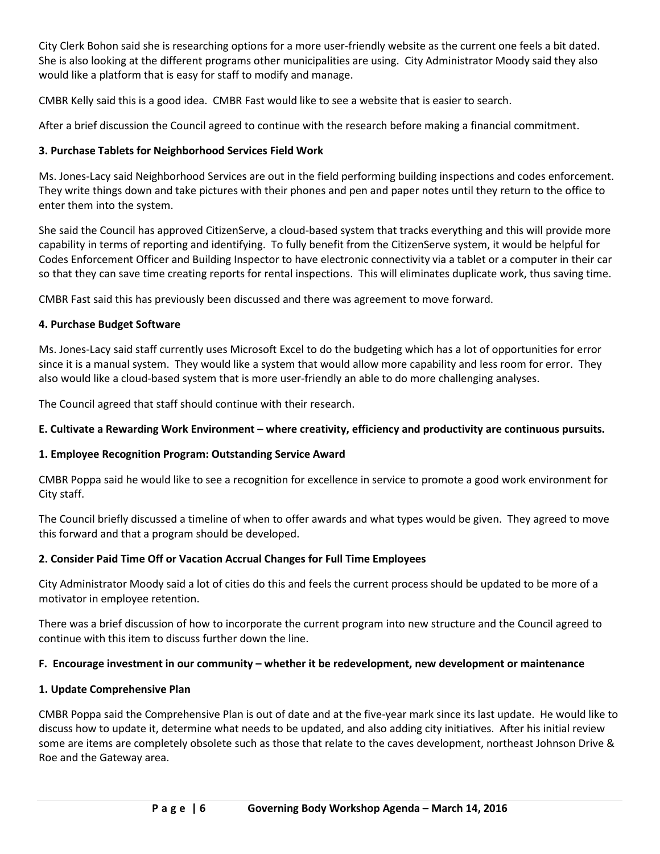City Clerk Bohon said she is researching options for a more user-friendly website as the current one feels a bit dated. She is also looking at the different programs other municipalities are using. City Administrator Moody said they also would like a platform that is easy for staff to modify and manage.

CMBR Kelly said this is a good idea. CMBR Fast would like to see a website that is easier to search.

After a brief discussion the Council agreed to continue with the research before making a financial commitment.

## **3. Purchase Tablets for Neighborhood Services Field Work**

Ms. Jones-Lacy said Neighborhood Services are out in the field performing building inspections and codes enforcement. They write things down and take pictures with their phones and pen and paper notes until they return to the office to enter them into the system.

She said the Council has approved CitizenServe, a cloud-based system that tracks everything and this will provide more capability in terms of reporting and identifying. To fully benefit from the CitizenServe system, it would be helpful for Codes Enforcement Officer and Building Inspector to have electronic connectivity via a tablet or a computer in their car so that they can save time creating reports for rental inspections. This will eliminates duplicate work, thus saving time.

CMBR Fast said this has previously been discussed and there was agreement to move forward.

# **4. Purchase Budget Software**

Ms. Jones-Lacy said staff currently uses Microsoft Excel to do the budgeting which has a lot of opportunities for error since it is a manual system. They would like a system that would allow more capability and less room for error. They also would like a cloud-based system that is more user-friendly an able to do more challenging analyses.

The Council agreed that staff should continue with their research.

# **E. Cultivate a Rewarding Work Environment – where creativity, efficiency and productivity are continuous pursuits.**

# **1. Employee Recognition Program: Outstanding Service Award**

CMBR Poppa said he would like to see a recognition for excellence in service to promote a good work environment for City staff.

The Council briefly discussed a timeline of when to offer awards and what types would be given. They agreed to move this forward and that a program should be developed.

# **2. Consider Paid Time Off or Vacation Accrual Changes for Full Time Employees**

City Administrator Moody said a lot of cities do this and feels the current process should be updated to be more of a motivator in employee retention.

There was a brief discussion of how to incorporate the current program into new structure and the Council agreed to continue with this item to discuss further down the line.

# **F. Encourage investment in our community – whether it be redevelopment, new development or maintenance**

## **1. Update Comprehensive Plan**

CMBR Poppa said the Comprehensive Plan is out of date and at the five-year mark since its last update. He would like to discuss how to update it, determine what needs to be updated, and also adding city initiatives. After his initial review some are items are completely obsolete such as those that relate to the caves development, northeast Johnson Drive & Roe and the Gateway area.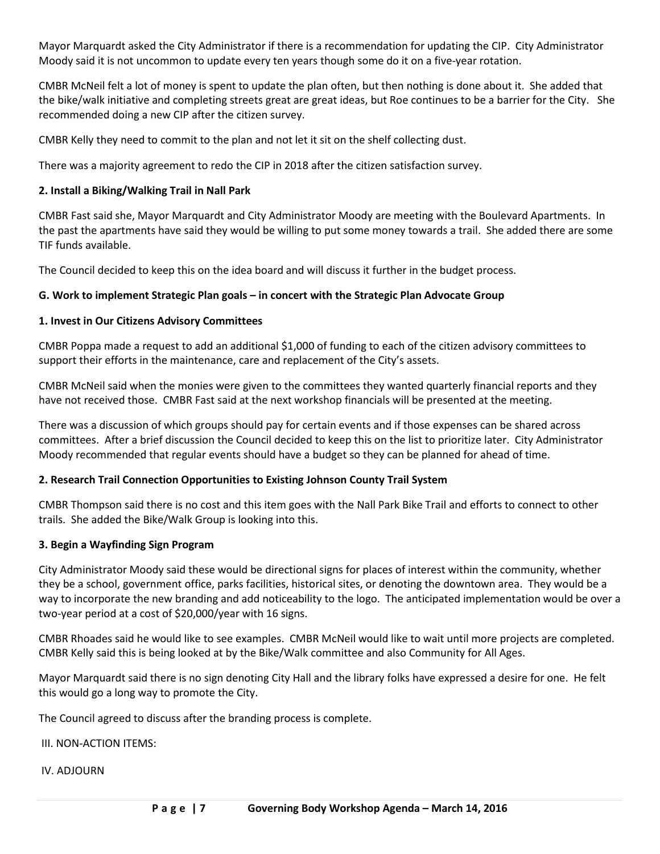Mayor Marquardt asked the City Administrator if there is a recommendation for updating the CIP. City Administrator Moody said it is not uncommon to update every ten years though some do it on a five-year rotation.

CMBR McNeil felt a lot of money is spent to update the plan often, but then nothing is done about it. She added that the bike/walk initiative and completing streets great are great ideas, but Roe continues to be a barrier for the City. She recommended doing a new CIP after the citizen survey.

CMBR Kelly they need to commit to the plan and not let it sit on the shelf collecting dust.

There was a majority agreement to redo the CIP in 2018 after the citizen satisfaction survey.

## **2. Install a Biking/Walking Trail in Nall Park**

CMBR Fast said she, Mayor Marquardt and City Administrator Moody are meeting with the Boulevard Apartments. In the past the apartments have said they would be willing to put some money towards a trail. She added there are some TIF funds available.

The Council decided to keep this on the idea board and will discuss it further in the budget process.

## **G. Work to implement Strategic Plan goals – in concert with the Strategic Plan Advocate Group**

## **1. Invest in Our Citizens Advisory Committees**

CMBR Poppa made a request to add an additional \$1,000 of funding to each of the citizen advisory committees to support their efforts in the maintenance, care and replacement of the City's assets.

CMBR McNeil said when the monies were given to the committees they wanted quarterly financial reports and they have not received those. CMBR Fast said at the next workshop financials will be presented at the meeting.

There was a discussion of which groups should pay for certain events and if those expenses can be shared across committees. After a brief discussion the Council decided to keep this on the list to prioritize later. City Administrator Moody recommended that regular events should have a budget so they can be planned for ahead of time.

## **2. Research Trail Connection Opportunities to Existing Johnson County Trail System**

CMBR Thompson said there is no cost and this item goes with the Nall Park Bike Trail and efforts to connect to other trails. She added the Bike/Walk Group is looking into this.

#### **3. Begin a Wayfinding Sign Program**

City Administrator Moody said these would be directional signs for places of interest within the community, whether they be a school, government office, parks facilities, historical sites, or denoting the downtown area. They would be a way to incorporate the new branding and add noticeability to the logo. The anticipated implementation would be over a two-year period at a cost of \$20,000/year with 16 signs.

CMBR Rhoades said he would like to see examples. CMBR McNeil would like to wait until more projects are completed. CMBR Kelly said this is being looked at by the Bike/Walk committee and also Community for All Ages.

Mayor Marquardt said there is no sign denoting City Hall and the library folks have expressed a desire for one. He felt this would go a long way to promote the City.

The Council agreed to discuss after the branding process is complete.

III. NON-ACTION ITEMS:

IV. ADJOURN